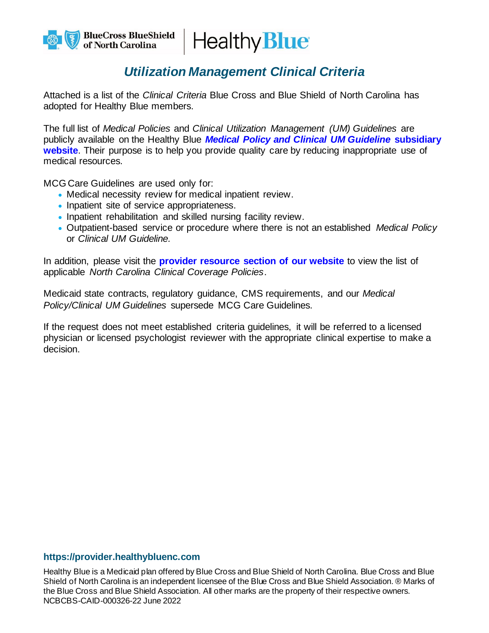

## *Utilization Management Clinical Criteria*

Attached is a list of the *Clinical Criteria* Blue Cross and Blue Shield of North Carolina has adopted for Healthy Blue members.

The full list of *Medical Policies* and *Clinical Utilization Management (UM) Guidelines* are publicly available on the Healthy Blue *[Medical Policy and Clinical UM Guideline](https://provider.healthybluenc.com/north-carolina-provider/medical-policies-and-clinical-guidelines)* **subsidiary [website](https://provider.healthybluenc.com/north-carolina-provider/medical-policies-and-clinical-guidelines)**. Their purpose is to help you provide quality care by reducing inappropriate use of medical resources.

MCG Care Guidelines are used only for:

- Medical necessity review for medical inpatient review.
- Inpatient site of service appropriateness.
- Inpatient rehabilitation and skilled nursing facility review.
- Outpatient-based service or procedure where there is not an established *Medical Policy* or *Clinical UM Guideline.*

In addition, please visit the **[provider resource section of](https://provider.healthybluenc.com/north-carolina-provider/manuals-and-guides) our website** to view the list of applicable *North Carolina Clinical Coverage Policies*.

Medicaid state contracts, regulatory guidance, CMS requirements, and our *Medical Policy/Clinical UM Guidelines* supersede MCG Care Guidelines.

If the request does not meet established criteria guidelines, it will be referred to a licensed physician or licensed psychologist reviewer with the appropriate clinical expertise to make a decision.

## **https://provider.healthybluenc.com**

Healthy Blue is a Medicaid plan offered by Blue Cross and Blue Shield of North Carolina. Blue Cross and Blue Shield of North Carolina is an independent licensee of the Blue Cross and Blue Shield Association. ® Marks of the Blue Cross and Blue Shield Association. All other marks are the property of their respective owners. NCBCBS-CAID-000326-22 June 2022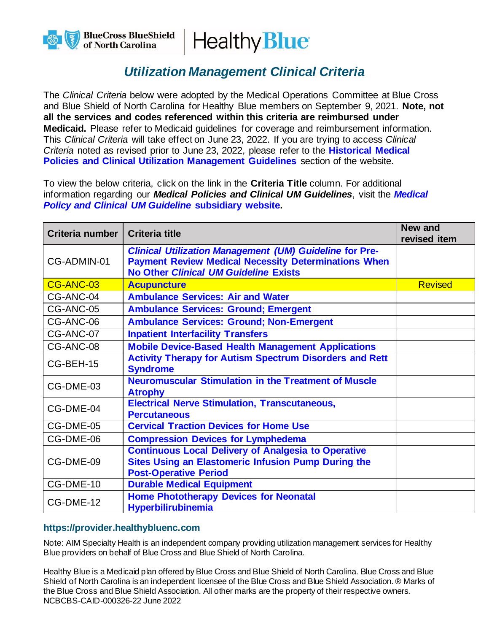

## *Utilization Management Clinical Criteria*

The *Clinical Criteria* below were adopted by the Medical Operations Committee at Blue Cross and Blue Shield of North Carolina for Healthy Blue members on September 9, 2021. **Note, not all the services and codes referenced within this criteria are reimbursed under Medicaid.** Please refer to Medicaid guidelines for coverage and reimbursement information. This *Clinical Criteria* will take effect on June 23, 2022. If you are trying to access *Clinical Criteria* noted as revised prior to June 23, 2022, please refer to the **[Historical Medical](https://provider.healthybluenc.com/north-carolina-provider/medical-policies-and-clinical-guidelines-historical)  [Policies and Clinical Utilization Management Guidelines](https://provider.healthybluenc.com/north-carolina-provider/medical-policies-and-clinical-guidelines-historical)** section of the website.

To view the below criteria, click on the link in the **Criteria Title** column. For additional information regarding our *Medical Policies and Clinical UM Guidelines*, visit the *[Medical](https://provider.healthybluenc.com/north-carolina-provider/medical-policies-and-clinical-guidelines)  [Policy and Clinical UM Guideline](https://provider.healthybluenc.com/north-carolina-provider/medical-policies-and-clinical-guidelines)* **subsidiary website.**

| Criteria number | <b>Criteria title</b>                                                                                                                                                         | New and<br>revised item |
|-----------------|-------------------------------------------------------------------------------------------------------------------------------------------------------------------------------|-------------------------|
| CG-ADMIN-01     | <b>Clinical Utilization Management (UM) Guideline for Pre-</b><br><b>Payment Review Medical Necessity Determinations When</b><br><b>No Other Clinical UM Guideline Exists</b> |                         |
| CG-ANC-03       | <b>Acupuncture</b>                                                                                                                                                            | <b>Revised</b>          |
| CG-ANC-04       | <b>Ambulance Services: Air and Water</b>                                                                                                                                      |                         |
| CG-ANC-05       | <b>Ambulance Services: Ground; Emergent</b>                                                                                                                                   |                         |
| CG-ANC-06       | <b>Ambulance Services: Ground; Non-Emergent</b>                                                                                                                               |                         |
| CG-ANC-07       | <b>Inpatient Interfacility Transfers</b>                                                                                                                                      |                         |
| CG-ANC-08       | <b>Mobile Device-Based Health Management Applications</b>                                                                                                                     |                         |
| CG-BEH-15       | <b>Activity Therapy for Autism Spectrum Disorders and Rett</b><br><b>Syndrome</b>                                                                                             |                         |
| CG-DME-03       | <b>Neuromuscular Stimulation in the Treatment of Muscle</b><br><b>Atrophy</b>                                                                                                 |                         |
| CG-DME-04       | <b>Electrical Nerve Stimulation, Transcutaneous,</b><br><b>Percutaneous</b>                                                                                                   |                         |
| CG-DME-05       | <b>Cervical Traction Devices for Home Use</b>                                                                                                                                 |                         |
| CG-DME-06       | <b>Compression Devices for Lymphedema</b>                                                                                                                                     |                         |
| CG-DME-09       | <b>Continuous Local Delivery of Analgesia to Operative</b><br><b>Sites Using an Elastomeric Infusion Pump During the</b><br><b>Post-Operative Period</b>                      |                         |
| CG-DME-10       | <b>Durable Medical Equipment</b>                                                                                                                                              |                         |
| CG-DME-12       | <b>Home Phototherapy Devices for Neonatal</b><br><b>Hyperbilirubinemia</b>                                                                                                    |                         |

## **https://provider.healthybluenc.com**

Note: AIM Specialty Health is an independent company providing utilization management services for Healthy Blue providers on behalf of Blue Cross and Blue Shield of North Carolina.

Healthy Blue is a Medicaid plan offered by Blue Cross and Blue Shield of North Carolina. Blue Cross and Blue Shield of North Carolina is an independent licensee of the Blue Cross and Blue Shield Association. ® Marks of the Blue Cross and Blue Shield Association. All other marks are the property of their respective owners. NCBCBS-CAID-000326-22 June 2022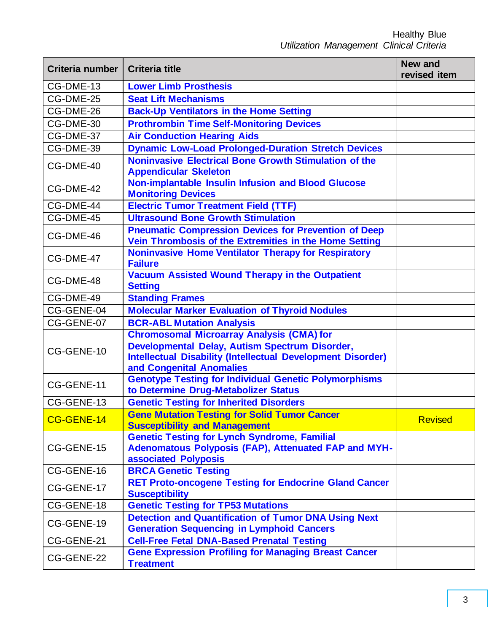| Criteria number | <b>Criteria title</b>                                                                                                                                                                                | <b>New and</b><br>revised item |
|-----------------|------------------------------------------------------------------------------------------------------------------------------------------------------------------------------------------------------|--------------------------------|
| CG-DME-13       | <b>Lower Limb Prosthesis</b>                                                                                                                                                                         |                                |
| CG-DME-25       | <b>Seat Lift Mechanisms</b>                                                                                                                                                                          |                                |
| CG-DME-26       | <b>Back-Up Ventilators in the Home Setting</b>                                                                                                                                                       |                                |
| CG-DME-30       | <b>Prothrombin Time Self-Monitoring Devices</b>                                                                                                                                                      |                                |
| CG-DME-37       | <b>Air Conduction Hearing Aids</b>                                                                                                                                                                   |                                |
| CG-DME-39       | <b>Dynamic Low-Load Prolonged-Duration Stretch Devices</b>                                                                                                                                           |                                |
| CG-DME-40       | <b>Noninvasive Electrical Bone Growth Stimulation of the</b><br><b>Appendicular Skeleton</b>                                                                                                         |                                |
| CG-DME-42       | <b>Non-implantable Insulin Infusion and Blood Glucose</b><br><b>Monitoring Devices</b>                                                                                                               |                                |
| CG-DME-44       | <b>Electric Tumor Treatment Field (TTF)</b>                                                                                                                                                          |                                |
| CG-DME-45       | <b>Ultrasound Bone Growth Stimulation</b>                                                                                                                                                            |                                |
| CG-DME-46       | <b>Pneumatic Compression Devices for Prevention of Deep</b><br>Vein Thrombosis of the Extremities in the Home Setting                                                                                |                                |
| CG-DME-47       | <b>Noninvasive Home Ventilator Therapy for Respiratory</b><br><b>Failure</b>                                                                                                                         |                                |
| CG-DME-48       | <b>Vacuum Assisted Wound Therapy in the Outpatient</b><br><b>Setting</b>                                                                                                                             |                                |
| CG-DME-49       | <b>Standing Frames</b>                                                                                                                                                                               |                                |
| CG-GENE-04      | <b>Molecular Marker Evaluation of Thyroid Nodules</b>                                                                                                                                                |                                |
| CG-GENE-07      | <b>BCR-ABL Mutation Analysis</b>                                                                                                                                                                     |                                |
| CG-GENE-10      | <b>Chromosomal Microarray Analysis (CMA) for</b><br>Developmental Delay, Autism Spectrum Disorder,<br><b>Intellectual Disability (Intellectual Development Disorder)</b><br>and Congenital Anomalies |                                |
| CG-GENE-11      | <b>Genotype Testing for Individual Genetic Polymorphisms</b><br>to Determine Drug-Metabolizer Status                                                                                                 |                                |
| CG-GENE-13      | <b>Genetic Testing for Inherited Disorders</b>                                                                                                                                                       |                                |
| CG-GENE-14      | <b>Gene Mutation Testing for Solid Tumor Cancer</b><br><b>Susceptibility and Management</b>                                                                                                          | <b>Revised</b>                 |
| CG-GENE-15      | <b>Genetic Testing for Lynch Syndrome, Familial</b><br>Adenomatous Polyposis (FAP), Attenuated FAP and MYH-<br>associated Polyposis                                                                  |                                |
| CG-GENE-16      | <b>BRCA Genetic Testing</b>                                                                                                                                                                          |                                |
| CG-GENE-17      | <b>RET Proto-oncogene Testing for Endocrine Gland Cancer</b><br><b>Susceptibility</b>                                                                                                                |                                |
| CG-GENE-18      | <b>Genetic Testing for TP53 Mutations</b>                                                                                                                                                            |                                |
| CG-GENE-19      | <b>Detection and Quantification of Tumor DNA Using Next</b><br><b>Generation Sequencing in Lymphoid Cancers</b>                                                                                      |                                |
| CG-GENE-21      | <b>Cell-Free Fetal DNA-Based Prenatal Testing</b>                                                                                                                                                    |                                |
| CG-GENE-22      | <b>Gene Expression Profiling for Managing Breast Cancer</b><br><b>Treatment</b>                                                                                                                      |                                |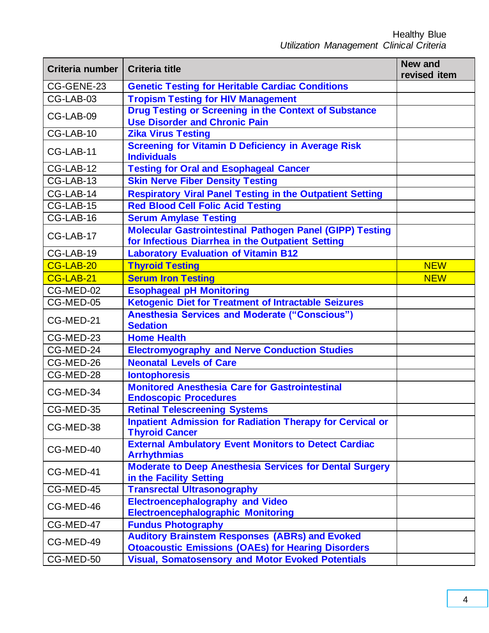| Criteria number | <b>Criteria title</b>                                                                                                | <b>New and</b><br>revised item |
|-----------------|----------------------------------------------------------------------------------------------------------------------|--------------------------------|
| CG-GENE-23      | <b>Genetic Testing for Heritable Cardiac Conditions</b>                                                              |                                |
| CG-LAB-03       | <b>Tropism Testing for HIV Management</b>                                                                            |                                |
| CG-LAB-09       | <b>Drug Testing or Screening in the Context of Substance</b><br><b>Use Disorder and Chronic Pain</b>                 |                                |
| CG-LAB-10       | <b>Zika Virus Testing</b>                                                                                            |                                |
| CG-LAB-11       | <b>Screening for Vitamin D Deficiency in Average Risk</b><br><b>Individuals</b>                                      |                                |
| CG-LAB-12       | <b>Testing for Oral and Esophageal Cancer</b>                                                                        |                                |
| CG-LAB-13       | <b>Skin Nerve Fiber Density Testing</b>                                                                              |                                |
| CG-LAB-14       | <b>Respiratory Viral Panel Testing in the Outpatient Setting</b>                                                     |                                |
| CG-LAB-15       | <b>Red Blood Cell Folic Acid Testing</b>                                                                             |                                |
| CG-LAB-16       | <b>Serum Amylase Testing</b>                                                                                         |                                |
| CG-LAB-17       | <b>Molecular Gastrointestinal Pathogen Panel (GIPP) Testing</b><br>for Infectious Diarrhea in the Outpatient Setting |                                |
| CG-LAB-19       | <b>Laboratory Evaluation of Vitamin B12</b>                                                                          |                                |
| CG-LAB-20       | <b>Thyroid Testing</b>                                                                                               | <b>NEW</b>                     |
| CG-LAB-21       | <b>Serum Iron Testing</b>                                                                                            | <b>NEW</b>                     |
| CG-MED-02       | <b>Esophageal pH Monitoring</b>                                                                                      |                                |
| CG-MED-05       | <b>Ketogenic Diet for Treatment of Intractable Seizures</b>                                                          |                                |
| CG-MED-21       | <b>Anesthesia Services and Moderate ("Conscious")</b><br><b>Sedation</b>                                             |                                |
| CG-MED-23       | <b>Home Health</b>                                                                                                   |                                |
| CG-MED-24       | <b>Electromyography and Nerve Conduction Studies</b>                                                                 |                                |
| CG-MED-26       | <b>Neonatal Levels of Care</b>                                                                                       |                                |
| CG-MED-28       | <b>Iontophoresis</b>                                                                                                 |                                |
| CG-MED-34       | <b>Monitored Anesthesia Care for Gastrointestinal</b><br><b>Endoscopic Procedures</b>                                |                                |
| CG-MED-35       | <b>Retinal Telescreening Systems</b>                                                                                 |                                |
| CG-MED-38       | <b>Inpatient Admission for Radiation Therapy for Cervical or</b><br><b>Thyroid Cancer</b>                            |                                |
| CG-MED-40       | <b>External Ambulatory Event Monitors to Detect Cardiac</b><br><b>Arrhythmias</b>                                    |                                |
| CG-MED-41       | <b>Moderate to Deep Anesthesia Services for Dental Surgery</b><br>in the Facility Setting                            |                                |
| CG-MED-45       | <b>Transrectal Ultrasonography</b>                                                                                   |                                |
| CG-MED-46       | <b>Electroencephalography and Video</b><br><b>Electroencephalographic Monitoring</b>                                 |                                |
| CG-MED-47       | <b>Fundus Photography</b>                                                                                            |                                |
| CG-MED-49       | <b>Auditory Brainstem Responses (ABRs) and Evoked</b><br><b>Otoacoustic Emissions (OAEs) for Hearing Disorders</b>   |                                |
| CG-MED-50       | <b>Visual, Somatosensory and Motor Evoked Potentials</b>                                                             |                                |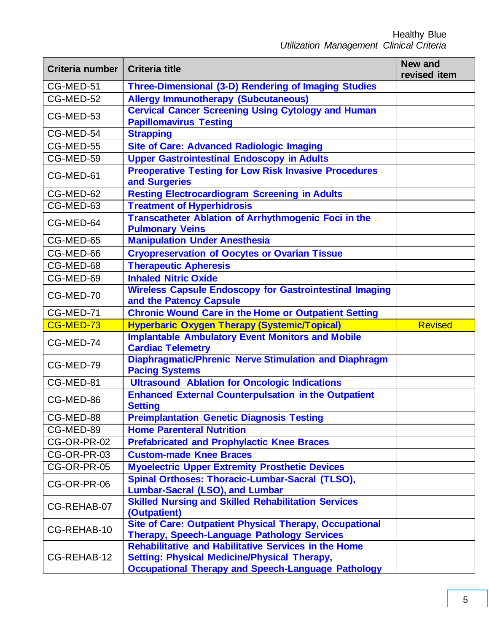| Criteria number | <b>Criteria title</b>                                                                                                                                                           | <b>New and</b><br>revised item |
|-----------------|---------------------------------------------------------------------------------------------------------------------------------------------------------------------------------|--------------------------------|
| CG-MED-51       | Three-Dimensional (3-D) Rendering of Imaging Studies                                                                                                                            |                                |
| CG-MED-52       | <b>Allergy Immunotherapy (Subcutaneous)</b>                                                                                                                                     |                                |
| CG-MED-53       | <b>Cervical Cancer Screening Using Cytology and Human</b>                                                                                                                       |                                |
|                 | <b>Papillomavirus Testing</b>                                                                                                                                                   |                                |
| CG-MED-54       | <b>Strapping</b>                                                                                                                                                                |                                |
| CG-MED-55       | <b>Site of Care: Advanced Radiologic Imaging</b>                                                                                                                                |                                |
| CG-MED-59       | <b>Upper Gastrointestinal Endoscopy in Adults</b>                                                                                                                               |                                |
| CG-MED-61       | <b>Preoperative Testing for Low Risk Invasive Procedures</b><br>and Surgeries                                                                                                   |                                |
| CG-MED-62       | <b>Resting Electrocardiogram Screening in Adults</b>                                                                                                                            |                                |
| CG-MED-63       | <b>Treatment of Hyperhidrosis</b>                                                                                                                                               |                                |
| CG-MED-64       | <b>Transcatheter Ablation of Arrhythmogenic Foci in the</b><br><b>Pulmonary Veins</b>                                                                                           |                                |
| CG-MED-65       | <b>Manipulation Under Anesthesia</b>                                                                                                                                            |                                |
| CG-MED-66       | <b>Cryopreservation of Oocytes or Ovarian Tissue</b>                                                                                                                            |                                |
| CG-MED-68       | <b>Therapeutic Apheresis</b>                                                                                                                                                    |                                |
| CG-MED-69       | <b>Inhaled Nitric Oxide</b>                                                                                                                                                     |                                |
| CG-MED-70       | <b>Wireless Capsule Endoscopy for Gastrointestinal Imaging</b><br>and the Patency Capsule                                                                                       |                                |
| CG-MED-71       | <b>Chronic Wound Care in the Home or Outpatient Setting</b>                                                                                                                     |                                |
| CG-MED-73       | <b>Hyperbaric Oxygen Therapy (Systemic/Topical)</b>                                                                                                                             | <b>Revised</b>                 |
| CG-MED-74       | <b>Implantable Ambulatory Event Monitors and Mobile</b><br><b>Cardiac Telemetry</b>                                                                                             |                                |
| CG-MED-79       | <b>Diaphragmatic/Phrenic Nerve Stimulation and Diaphragm</b><br><b>Pacing Systems</b>                                                                                           |                                |
| CG-MED-81       | <b>Ultrasound Ablation for Oncologic Indications</b>                                                                                                                            |                                |
| CG-MED-86       | <b>Enhanced External Counterpulsation in the Outpatient</b><br><b>Setting</b>                                                                                                   |                                |
| CG-MED-88       | <b>Preimplantation Genetic Diagnosis Testing</b>                                                                                                                                |                                |
| CG-MED-89       | <b>Home Parenteral Nutrition</b>                                                                                                                                                |                                |
| CG-OR-PR-02     | <b>Prefabricated and Prophylactic Knee Braces</b>                                                                                                                               |                                |
| CG-OR-PR-03     | <b>Custom-made Knee Braces</b>                                                                                                                                                  |                                |
| CG-OR-PR-05     | <b>Myoelectric Upper Extremity Prosthetic Devices</b>                                                                                                                           |                                |
| CG-OR-PR-06     | Spinal Orthoses: Thoracic-Lumbar-Sacral (TLSO),<br><b>Lumbar-Sacral (LSO), and Lumbar</b>                                                                                       |                                |
| CG-REHAB-07     | <b>Skilled Nursing and Skilled Rehabilitation Services</b><br>(Outpatient)                                                                                                      |                                |
| CG-REHAB-10     | <b>Site of Care: Outpatient Physical Therapy, Occupational</b><br><b>Therapy, Speech-Language Pathology Services</b>                                                            |                                |
| CG-REHAB-12     | <b>Rehabilitative and Habilitative Services in the Home</b><br><b>Setting: Physical Medicine/Physical Therapy,</b><br><b>Occupational Therapy and Speech-Language Pathology</b> |                                |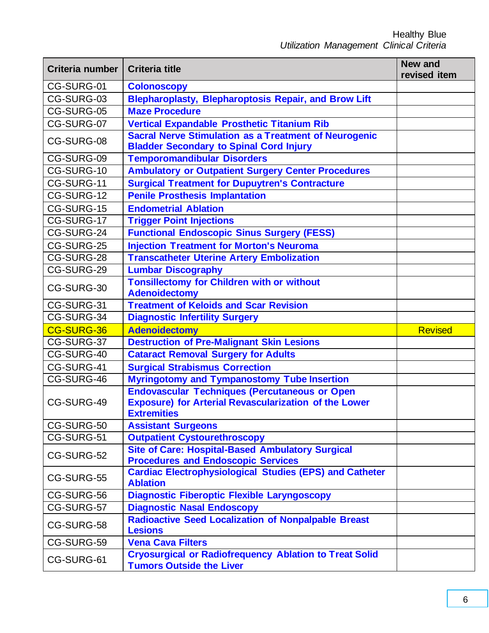| Criteria number | <b>Criteria title</b>                                                                                                                      | <b>New and</b><br>revised item |
|-----------------|--------------------------------------------------------------------------------------------------------------------------------------------|--------------------------------|
| CG-SURG-01      | <b>Colonoscopy</b>                                                                                                                         |                                |
| CG-SURG-03      | <b>Blepharoplasty, Blepharoptosis Repair, and Brow Lift</b>                                                                                |                                |
| CG-SURG-05      | <b>Maze Procedure</b>                                                                                                                      |                                |
| CG-SURG-07      | <b>Vertical Expandable Prosthetic Titanium Rib</b>                                                                                         |                                |
| CG-SURG-08      | <b>Sacral Nerve Stimulation as a Treatment of Neurogenic</b><br><b>Bladder Secondary to Spinal Cord Injury</b>                             |                                |
| CG-SURG-09      | <b>Temporomandibular Disorders</b>                                                                                                         |                                |
| CG-SURG-10      | <b>Ambulatory or Outpatient Surgery Center Procedures</b>                                                                                  |                                |
| CG-SURG-11      | <b>Surgical Treatment for Dupuytren's Contracture</b>                                                                                      |                                |
| $CG-SURG-12$    | <b>Penile Prosthesis Implantation</b>                                                                                                      |                                |
| CG-SURG-15      | <b>Endometrial Ablation</b>                                                                                                                |                                |
| CG-SURG-17      | <b>Trigger Point Injections</b>                                                                                                            |                                |
| CG-SURG-24      | <b>Functional Endoscopic Sinus Surgery (FESS)</b>                                                                                          |                                |
| CG-SURG-25      | <b>Injection Treatment for Morton's Neuroma</b>                                                                                            |                                |
| CG-SURG-28      | <b>Transcatheter Uterine Artery Embolization</b>                                                                                           |                                |
| CG-SURG-29      | <b>Lumbar Discography</b>                                                                                                                  |                                |
| CG-SURG-30      | <b>Tonsillectomy for Children with or without</b><br><b>Adenoidectomy</b>                                                                  |                                |
| CG-SURG-31      | <b>Treatment of Keloids and Scar Revision</b>                                                                                              |                                |
| CG-SURG-34      | <b>Diagnostic Infertility Surgery</b>                                                                                                      |                                |
| CG-SURG-36      | <b>Adenoidectomy</b>                                                                                                                       | <b>Revised</b>                 |
| CG-SURG-37      | <b>Destruction of Pre-Malignant Skin Lesions</b>                                                                                           |                                |
| CG-SURG-40      | <b>Cataract Removal Surgery for Adults</b>                                                                                                 |                                |
| CG-SURG-41      | <b>Surgical Strabismus Correction</b>                                                                                                      |                                |
| CG-SURG-46      | <b>Myringotomy and Tympanostomy Tube Insertion</b>                                                                                         |                                |
| CG-SURG-49      | <b>Endovascular Techniques (Percutaneous or Open</b><br><b>Exposure) for Arterial Revascularization of the Lower</b><br><b>Extremities</b> |                                |
| CG-SURG-50      | <b>Assistant Surgeons</b>                                                                                                                  |                                |
| CG-SURG-51      | <b>Outpatient Cystourethroscopy</b>                                                                                                        |                                |
| CG-SURG-52      | <b>Site of Care: Hospital-Based Ambulatory Surgical</b><br><b>Procedures and Endoscopic Services</b>                                       |                                |
| CG-SURG-55      | <b>Cardiac Electrophysiological Studies (EPS) and Catheter</b><br><b>Ablation</b>                                                          |                                |
| CG-SURG-56      | <b>Diagnostic Fiberoptic Flexible Laryngoscopy</b>                                                                                         |                                |
| CG-SURG-57      | <b>Diagnostic Nasal Endoscopy</b>                                                                                                          |                                |
| CG-SURG-58      | <b>Radioactive Seed Localization of Nonpalpable Breast</b><br><b>Lesions</b>                                                               |                                |
| CG-SURG-59      | <b>Vena Cava Filters</b>                                                                                                                   |                                |
| CG-SURG-61      | <b>Cryosurgical or Radiofrequency Ablation to Treat Solid</b><br><b>Tumors Outside the Liver</b>                                           |                                |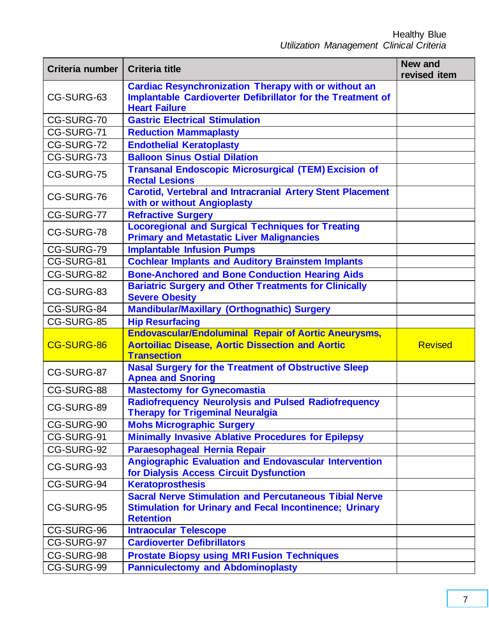| Criteria number | <b>Criteria title</b>                                                                                                                                     | <b>New and</b><br>revised item |
|-----------------|-----------------------------------------------------------------------------------------------------------------------------------------------------------|--------------------------------|
| CG-SURG-63      | <b>Cardiac Resynchronization Therapy with or without an</b><br><b>Implantable Cardioverter Defibrillator for the Treatment of</b><br><b>Heart Failure</b> |                                |
| CG-SURG-70      | <b>Gastric Electrical Stimulation</b>                                                                                                                     |                                |
| CG-SURG-71      | <b>Reduction Mammaplasty</b>                                                                                                                              |                                |
| CG-SURG-72      | <b>Endothelial Keratoplasty</b>                                                                                                                           |                                |
| CG-SURG-73      | <b>Balloon Sinus Ostial Dilation</b>                                                                                                                      |                                |
| CG-SURG-75      | <b>Transanal Endoscopic Microsurgical (TEM) Excision of</b><br><b>Rectal Lesions</b>                                                                      |                                |
| CG-SURG-76      | <b>Carotid, Vertebral and Intracranial Artery Stent Placement</b><br>with or without Angioplasty                                                          |                                |
| CG-SURG-77      | <b>Refractive Surgery</b>                                                                                                                                 |                                |
| CG-SURG-78      | <b>Locoregional and Surgical Techniques for Treating</b><br><b>Primary and Metastatic Liver Malignancies</b>                                              |                                |
| CG-SURG-79      | <b>Implantable Infusion Pumps</b>                                                                                                                         |                                |
| CG-SURG-81      | <b>Cochlear Implants and Auditory Brainstem Implants</b>                                                                                                  |                                |
| CG-SURG-82      | <b>Bone-Anchored and Bone Conduction Hearing Aids</b>                                                                                                     |                                |
| CG-SURG-83      | <b>Bariatric Surgery and Other Treatments for Clinically</b><br><b>Severe Obesity</b>                                                                     |                                |
| CG-SURG-84      | Mandibular/Maxillary (Orthognathic) Surgery                                                                                                               |                                |
| CG-SURG-85      | <b>Hip Resurfacing</b>                                                                                                                                    |                                |
| CG-SURG-86      | <b>Endovascular/Endoluminal Repair of Aortic Aneurysms,</b><br><b>Aortoiliac Disease, Aortic Dissection and Aortic</b><br><b>Transection</b>              | <b>Revised</b>                 |
| CG-SURG-87      | <b>Nasal Surgery for the Treatment of Obstructive Sleep</b><br><b>Apnea and Snoring</b>                                                                   |                                |
| CG-SURG-88      | <b>Mastectomy for Gynecomastia</b>                                                                                                                        |                                |
| CG-SURG-89      | <b>Radiofrequency Neurolysis and Pulsed Radiofrequency</b><br><b>Therapy for Trigeminal Neuralgia</b>                                                     |                                |
| CG-SURG-90      | <b>Mohs Micrographic Surgery</b>                                                                                                                          |                                |
| CG-SURG-91      | <b>Minimally Invasive Ablative Procedures for Epilepsy</b>                                                                                                |                                |
| CG-SURG-92      | Paraesophageal Hernia Repair                                                                                                                              |                                |
| CG-SURG-93      | <b>Angiographic Evaluation and Endovascular Intervention</b><br>for Dialysis Access Circuit Dysfunction                                                   |                                |
| CG-SURG-94      | <b>Keratoprosthesis</b>                                                                                                                                   |                                |
| CG-SURG-95      | <b>Sacral Nerve Stimulation and Percutaneous Tibial Nerve</b><br><b>Stimulation for Urinary and Fecal Incontinence; Urinary</b><br><b>Retention</b>       |                                |
| CG-SURG-96      | <b>Intraocular Telescope</b>                                                                                                                              |                                |
| CG-SURG-97      | <b>Cardioverter Defibrillators</b>                                                                                                                        |                                |
| CG-SURG-98      | <b>Prostate Biopsy using MRI Fusion Techniques</b>                                                                                                        |                                |
| CG-SURG-99      | <b>Panniculectomy and Abdominoplasty</b>                                                                                                                  |                                |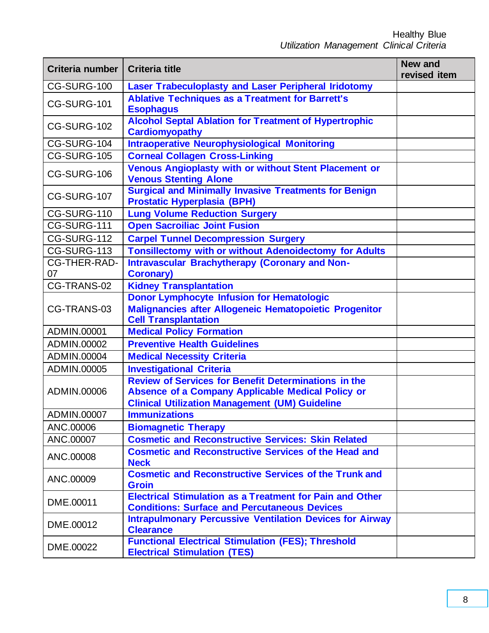| Criteria number     | <b>Criteria title</b>                                                                                                                                                     | <b>New and</b><br>revised item |
|---------------------|---------------------------------------------------------------------------------------------------------------------------------------------------------------------------|--------------------------------|
| CG-SURG-100         | <b>Laser Trabeculoplasty and Laser Peripheral Iridotomy</b>                                                                                                               |                                |
| CG-SURG-101         | <b>Ablative Techniques as a Treatment for Barrett's</b><br><b>Esophagus</b>                                                                                               |                                |
| CG-SURG-102         | <b>Alcohol Septal Ablation for Treatment of Hypertrophic</b><br><b>Cardiomyopathy</b>                                                                                     |                                |
| CG-SURG-104         | <b>Intraoperative Neurophysiological Monitoring</b>                                                                                                                       |                                |
| CG-SURG-105         | <b>Corneal Collagen Cross-Linking</b>                                                                                                                                     |                                |
| CG-SURG-106         | <b>Venous Angioplasty with or without Stent Placement or</b><br><b>Venous Stenting Alone</b>                                                                              |                                |
| CG-SURG-107         | <b>Surgical and Minimally Invasive Treatments for Benign</b><br><b>Prostatic Hyperplasia (BPH)</b>                                                                        |                                |
| CG-SURG-110         | <b>Lung Volume Reduction Surgery</b>                                                                                                                                      |                                |
| CG-SURG-111         | <b>Open Sacroiliac Joint Fusion</b>                                                                                                                                       |                                |
| CG-SURG-112         | <b>Carpel Tunnel Decompression Surgery</b>                                                                                                                                |                                |
| CG-SURG-113         | <b>Tonsillectomy with or without Adenoidectomy for Adults</b>                                                                                                             |                                |
| <b>CG-THER-RAD-</b> | <b>Intravascular Brachytherapy (Coronary and Non-</b>                                                                                                                     |                                |
| 07                  | <b>Coronary)</b>                                                                                                                                                          |                                |
| CG-TRANS-02         | <b>Kidney Transplantation</b>                                                                                                                                             |                                |
| CG-TRANS-03         | <b>Donor Lymphocyte Infusion for Hematologic</b><br>Malignancies after Allogeneic Hematopoietic Progenitor<br><b>Cell Transplantation</b>                                 |                                |
| ADMIN.00001         | <b>Medical Policy Formation</b>                                                                                                                                           |                                |
| ADMIN.00002         | <b>Preventive Health Guidelines</b>                                                                                                                                       |                                |
| ADMIN.00004         | <b>Medical Necessity Criteria</b>                                                                                                                                         |                                |
| ADMIN.00005         | <b>Investigational Criteria</b>                                                                                                                                           |                                |
| ADMIN.00006         | <b>Review of Services for Benefit Determinations in the</b><br>Absence of a Company Applicable Medical Policy or<br><b>Clinical Utilization Management (UM) Guideline</b> |                                |
| ADMIN.00007         | <b>Immunizations</b>                                                                                                                                                      |                                |
| ANC.00006           | <b>Biomagnetic Therapy</b>                                                                                                                                                |                                |
| ANC.00007           | <b>Cosmetic and Reconstructive Services: Skin Related</b>                                                                                                                 |                                |
| ANC.00008           | <b>Cosmetic and Reconstructive Services of the Head and</b><br><b>Neck</b>                                                                                                |                                |
| ANC.00009           | <b>Cosmetic and Reconstructive Services of the Trunk and</b><br><b>Groin</b>                                                                                              |                                |
| DME.00011           | <b>Electrical Stimulation as a Treatment for Pain and Other</b><br><b>Conditions: Surface and Percutaneous Devices</b>                                                    |                                |
| DME.00012           | <b>Intrapulmonary Percussive Ventilation Devices for Airway</b><br><b>Clearance</b>                                                                                       |                                |
| DME.00022           | <b>Functional Electrical Stimulation (FES); Threshold</b><br><b>Electrical Stimulation (TES)</b>                                                                          |                                |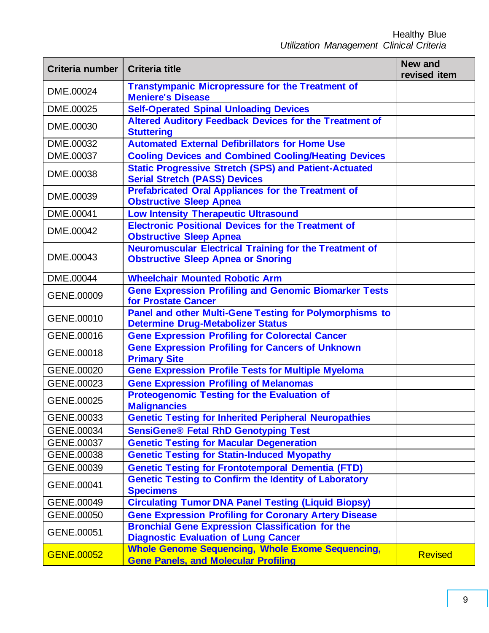| Criteria number   | <b>Criteria title</b>                                                                                      | <b>New and</b><br>revised item |
|-------------------|------------------------------------------------------------------------------------------------------------|--------------------------------|
| DME.00024         | <b>Transtympanic Micropressure for the Treatment of</b><br><b>Meniere's Disease</b>                        |                                |
| DME.00025         | <b>Self-Operated Spinal Unloading Devices</b>                                                              |                                |
| DME.00030         | <b>Altered Auditory Feedback Devices for the Treatment of</b><br><b>Stuttering</b>                         |                                |
| DME.00032         | <b>Automated External Defibrillators for Home Use</b>                                                      |                                |
| DME.00037         | <b>Cooling Devices and Combined Cooling/Heating Devices</b>                                                |                                |
| DME.00038         | <b>Static Progressive Stretch (SPS) and Patient-Actuated</b><br><b>Serial Stretch (PASS) Devices</b>       |                                |
| DME.00039         | <b>Prefabricated Oral Appliances for the Treatment of</b><br><b>Obstructive Sleep Apnea</b>                |                                |
| DME.00041         | <b>Low Intensity Therapeutic Ultrasound</b>                                                                |                                |
| DME.00042         | <b>Electronic Positional Devices for the Treatment of</b><br><b>Obstructive Sleep Apnea</b>                |                                |
| DME.00043         | <b>Neuromuscular Electrical Training for the Treatment of</b><br><b>Obstructive Sleep Apnea or Snoring</b> |                                |
| DME.00044         | <b>Wheelchair Mounted Robotic Arm</b>                                                                      |                                |
| GENE.00009        | <b>Gene Expression Profiling and Genomic Biomarker Tests</b><br>for Prostate Cancer                        |                                |
| GENE.00010        | Panel and other Multi-Gene Testing for Polymorphisms to<br><b>Determine Drug-Metabolizer Status</b>        |                                |
| GENE.00016        | <b>Gene Expression Profiling for Colorectal Cancer</b>                                                     |                                |
| GENE.00018        | <b>Gene Expression Profiling for Cancers of Unknown</b><br><b>Primary Site</b>                             |                                |
| GENE.00020        | <b>Gene Expression Profile Tests for Multiple Myeloma</b>                                                  |                                |
| GENE.00023        | <b>Gene Expression Profiling of Melanomas</b>                                                              |                                |
| GENE.00025        | <b>Proteogenomic Testing for the Evaluation of</b><br><b>Malignancies</b>                                  |                                |
| GENE.00033        | <b>Genetic Testing for Inherited Peripheral Neuropathies</b>                                               |                                |
| GENE.00034        | <b>SensiGene® Fetal RhD Genotyping Test</b>                                                                |                                |
| GENE.00037        | <b>Genetic Testing for Macular Degeneration</b>                                                            |                                |
| GENE.00038        | <b>Genetic Testing for Statin-Induced Myopathy</b>                                                         |                                |
| GENE.00039        | <b>Genetic Testing for Frontotemporal Dementia (FTD)</b>                                                   |                                |
| GENE.00041        | <b>Genetic Testing to Confirm the Identity of Laboratory</b><br><b>Specimens</b>                           |                                |
| GENE.00049        | <b>Circulating Tumor DNA Panel Testing (Liquid Biopsy)</b>                                                 |                                |
| GENE.00050        | <b>Gene Expression Profiling for Coronary Artery Disease</b>                                               |                                |
| GENE.00051        | <b>Bronchial Gene Expression Classification for the</b><br><b>Diagnostic Evaluation of Lung Cancer</b>     |                                |
| <b>GENE.00052</b> | <b>Whole Genome Sequencing, Whole Exome Sequencing,</b><br><b>Gene Panels, and Molecular Profiling</b>     | <b>Revised</b>                 |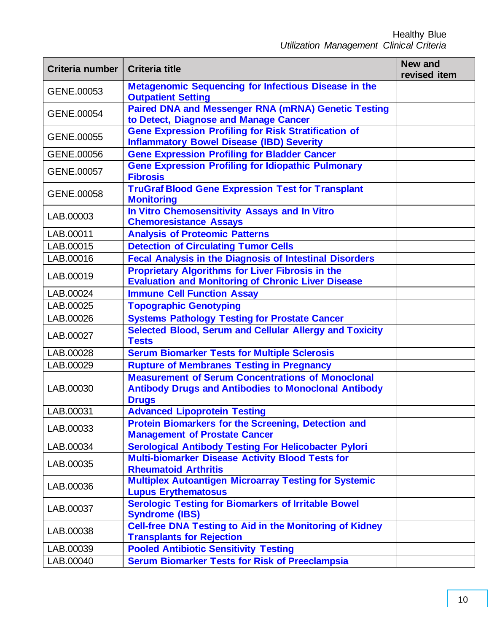| Criteria number | <b>Criteria title</b>                                                                                                                   | <b>New and</b><br>revised item |
|-----------------|-----------------------------------------------------------------------------------------------------------------------------------------|--------------------------------|
| GENE.00053      | <b>Metagenomic Sequencing for Infectious Disease in the</b><br><b>Outpatient Setting</b>                                                |                                |
| GENE.00054      | <b>Paired DNA and Messenger RNA (mRNA) Genetic Testing</b><br>to Detect, Diagnose and Manage Cancer                                     |                                |
| GENE.00055      | <b>Gene Expression Profiling for Risk Stratification of</b><br><b>Inflammatory Bowel Disease (IBD) Severity</b>                         |                                |
| GENE.00056      | <b>Gene Expression Profiling for Bladder Cancer</b>                                                                                     |                                |
| GENE.00057      | <b>Gene Expression Profiling for Idiopathic Pulmonary</b><br><b>Fibrosis</b>                                                            |                                |
| GENE.00058      | <b>TruGraf Blood Gene Expression Test for Transplant</b><br><b>Monitoring</b>                                                           |                                |
| LAB.00003       | In Vitro Chemosensitivity Assays and In Vitro<br><b>Chemoresistance Assays</b>                                                          |                                |
| LAB.00011       | <b>Analysis of Proteomic Patterns</b>                                                                                                   |                                |
| LAB.00015       | <b>Detection of Circulating Tumor Cells</b>                                                                                             |                                |
| LAB.00016       | <b>Fecal Analysis in the Diagnosis of Intestinal Disorders</b>                                                                          |                                |
| LAB.00019       | <b>Proprietary Algorithms for Liver Fibrosis in the</b><br><b>Evaluation and Monitoring of Chronic Liver Disease</b>                    |                                |
| LAB.00024       | <b>Immune Cell Function Assay</b>                                                                                                       |                                |
| LAB.00025       | <b>Topographic Genotyping</b>                                                                                                           |                                |
| LAB.00026       | <b>Systems Pathology Testing for Prostate Cancer</b>                                                                                    |                                |
| LAB.00027       | <b>Selected Blood, Serum and Cellular Allergy and Toxicity</b><br><b>Tests</b>                                                          |                                |
| LAB.00028       | <b>Serum Biomarker Tests for Multiple Sclerosis</b>                                                                                     |                                |
| LAB.00029       | <b>Rupture of Membranes Testing in Pregnancy</b>                                                                                        |                                |
| LAB.00030       | <b>Measurement of Serum Concentrations of Monoclonal</b><br><b>Antibody Drugs and Antibodies to Monoclonal Antibody</b><br><b>Drugs</b> |                                |
| LAB.00031       | <b>Advanced Lipoprotein Testing</b>                                                                                                     |                                |
| LAB.00033       | <b>Protein Biomarkers for the Screening, Detection and</b><br><b>Management of Prostate Cancer</b>                                      |                                |
| LAB.00034       | <b>Serological Antibody Testing For Helicobacter Pylori</b>                                                                             |                                |
| LAB.00035       | <b>Multi-biomarker Disease Activity Blood Tests for</b><br><b>Rheumatoid Arthritis</b>                                                  |                                |
| LAB.00036       | <b>Multiplex Autoantigen Microarray Testing for Systemic</b><br><b>Lupus Erythematosus</b>                                              |                                |
| LAB.00037       | <b>Serologic Testing for Biomarkers of Irritable Bowel</b><br><b>Syndrome (IBS)</b>                                                     |                                |
| LAB.00038       | <b>Cell-free DNA Testing to Aid in the Monitoring of Kidney</b><br><b>Transplants for Rejection</b>                                     |                                |
| LAB.00039       | <b>Pooled Antibiotic Sensitivity Testing</b>                                                                                            |                                |
| LAB.00040       | <b>Serum Biomarker Tests for Risk of Preeclampsia</b>                                                                                   |                                |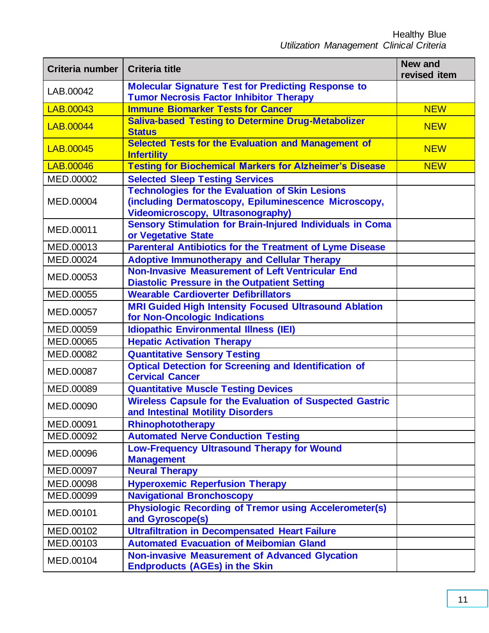| Criteria number | <b>Criteria title</b>                                                                                                                                      | <b>New and</b><br>revised item |
|-----------------|------------------------------------------------------------------------------------------------------------------------------------------------------------|--------------------------------|
| LAB.00042       | <b>Molecular Signature Test for Predicting Response to</b><br><b>Tumor Necrosis Factor Inhibitor Therapy</b>                                               |                                |
| LAB.00043       | <b>Immune Biomarker Tests for Cancer</b>                                                                                                                   | <b>NEW</b>                     |
| LAB.00044       | <b>Saliva-based Testing to Determine Drug-Metabolizer</b><br><b>Status</b>                                                                                 | <b>NEW</b>                     |
| LAB.00045       | Selected Tests for the Evaluation and Management of<br><b>Infertility</b>                                                                                  | <b>NEW</b>                     |
| LAB.00046       | <b>Testing for Biochemical Markers for Alzheimer's Disease</b>                                                                                             | <b>NEW</b>                     |
| MED.00002       | <b>Selected Sleep Testing Services</b>                                                                                                                     |                                |
| MED.00004       | <b>Technologies for the Evaluation of Skin Lesions</b><br>(including Dermatoscopy, Epiluminescence Microscopy,<br><b>Videomicroscopy, Ultrasonography)</b> |                                |
| MED.00011       | <b>Sensory Stimulation for Brain-Injured Individuals in Coma</b><br>or Vegetative State                                                                    |                                |
| MED.00013       | <b>Parenteral Antibiotics for the Treatment of Lyme Disease</b>                                                                                            |                                |
| MED.00024       | <b>Adoptive Immunotherapy and Cellular Therapy</b>                                                                                                         |                                |
| MED.00053       | Non-Invasive Measurement of Left Ventricular End<br><b>Diastolic Pressure in the Outpatient Setting</b>                                                    |                                |
| MED.00055       | <b>Wearable Cardioverter Defibrillators</b>                                                                                                                |                                |
| MED.00057       | <b>MRI Guided High Intensity Focused Ultrasound Ablation</b><br>for Non-Oncologic Indications                                                              |                                |
| MED.00059       | <b>Idiopathic Environmental Illness (IEI)</b>                                                                                                              |                                |
| MED.00065       | <b>Hepatic Activation Therapy</b>                                                                                                                          |                                |
| MED.00082       | <b>Quantitative Sensory Testing</b>                                                                                                                        |                                |
| MED.00087       | <b>Optical Detection for Screening and Identification of</b><br><b>Cervical Cancer</b>                                                                     |                                |
| MED.00089       | <b>Quantitative Muscle Testing Devices</b>                                                                                                                 |                                |
| MED.00090       | <b>Wireless Capsule for the Evaluation of Suspected Gastric</b><br>and Intestinal Motility Disorders                                                       |                                |
| MED.00091       | Rhinophototherapy                                                                                                                                          |                                |
| MED.00092       | <b>Automated Nerve Conduction Testing</b>                                                                                                                  |                                |
| MED.00096       | <b>Low-Frequency Ultrasound Therapy for Wound</b><br><b>Management</b>                                                                                     |                                |
| MED.00097       | <b>Neural Therapy</b>                                                                                                                                      |                                |
| MED.00098       | <b>Hyperoxemic Reperfusion Therapy</b>                                                                                                                     |                                |
| MED.00099       | <b>Navigational Bronchoscopy</b>                                                                                                                           |                                |
| MED.00101       | <b>Physiologic Recording of Tremor using Accelerometer(s)</b><br>and Gyroscope(s)                                                                          |                                |
| MED.00102       | <b>Ultrafiltration in Decompensated Heart Failure</b>                                                                                                      |                                |
| MED.00103       | <b>Automated Evacuation of Meibomian Gland</b>                                                                                                             |                                |
| MED.00104       | <b>Non-invasive Measurement of Advanced Glycation</b><br><b>Endproducts (AGEs) in the Skin</b>                                                             |                                |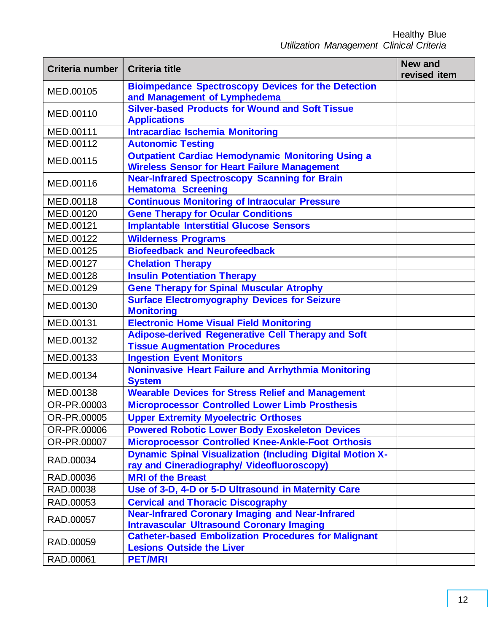| Criteria number | <b>Criteria title</b>                                                                                           | <b>New and</b><br>revised item |
|-----------------|-----------------------------------------------------------------------------------------------------------------|--------------------------------|
| MED.00105       | <b>Bioimpedance Spectroscopy Devices for the Detection</b><br>and Management of Lymphedema                      |                                |
| MED.00110       | <b>Silver-based Products for Wound and Soft Tissue</b><br><b>Applications</b>                                   |                                |
| MED.00111       | <b>Intracardiac Ischemia Monitoring</b>                                                                         |                                |
| MED.00112       | <b>Autonomic Testing</b>                                                                                        |                                |
| MED.00115       | <b>Outpatient Cardiac Hemodynamic Monitoring Using a</b><br><b>Wireless Sensor for Heart Failure Management</b> |                                |
| MED.00116       | <b>Near-Infrared Spectroscopy Scanning for Brain</b><br><b>Hematoma Screening</b>                               |                                |
| MED.00118       | <b>Continuous Monitoring of Intraocular Pressure</b>                                                            |                                |
| MED.00120       | <b>Gene Therapy for Ocular Conditions</b>                                                                       |                                |
| MED.00121       | <b>Implantable Interstitial Glucose Sensors</b>                                                                 |                                |
| MED.00122       | <b>Wilderness Programs</b>                                                                                      |                                |
| MED.00125       | <b>Biofeedback and Neurofeedback</b>                                                                            |                                |
| MED.00127       | <b>Chelation Therapy</b>                                                                                        |                                |
| MED.00128       | <b>Insulin Potentiation Therapy</b>                                                                             |                                |
| MED.00129       | <b>Gene Therapy for Spinal Muscular Atrophy</b>                                                                 |                                |
| MED.00130       | <b>Surface Electromyography Devices for Seizure</b><br><b>Monitoring</b>                                        |                                |
| MED.00131       | <b>Electronic Home Visual Field Monitoring</b>                                                                  |                                |
| MED.00132       | <b>Adipose-derived Regenerative Cell Therapy and Soft</b><br><b>Tissue Augmentation Procedures</b>              |                                |
| MED.00133       | <b>Ingestion Event Monitors</b>                                                                                 |                                |
| MED.00134       | <b>Noninvasive Heart Failure and Arrhythmia Monitoring</b><br><b>System</b>                                     |                                |
| MED.00138       | <b>Wearable Devices for Stress Relief and Management</b>                                                        |                                |
| OR-PR.00003     | <b>Microprocessor Controlled Lower Limb Prosthesis</b>                                                          |                                |
| OR-PR.00005     | <b>Upper Extremity Myoelectric Orthoses</b>                                                                     |                                |
| OR-PR.00006     | <b>Powered Robotic Lower Body Exoskeleton Devices</b>                                                           |                                |
| OR-PR.00007     | <b>Microprocessor Controlled Knee-Ankle-Foot Orthosis</b>                                                       |                                |
| RAD.00034       | <b>Dynamic Spinal Visualization (Including Digital Motion X-</b><br>ray and Cineradiography/ Videofluoroscopy)  |                                |
| RAD.00036       | <b>MRI of the Breast</b>                                                                                        |                                |
| RAD.00038       | Use of 3-D, 4-D or 5-D Ultrasound in Maternity Care                                                             |                                |
| RAD.00053       | <b>Cervical and Thoracic Discography</b>                                                                        |                                |
| RAD.00057       | <b>Near-Infrared Coronary Imaging and Near-Infrared</b><br><b>Intravascular Ultrasound Coronary Imaging</b>     |                                |
| RAD.00059       | <b>Catheter-based Embolization Procedures for Malignant</b><br><b>Lesions Outside the Liver</b>                 |                                |
| RAD.00061       | <b>PET/MRI</b>                                                                                                  |                                |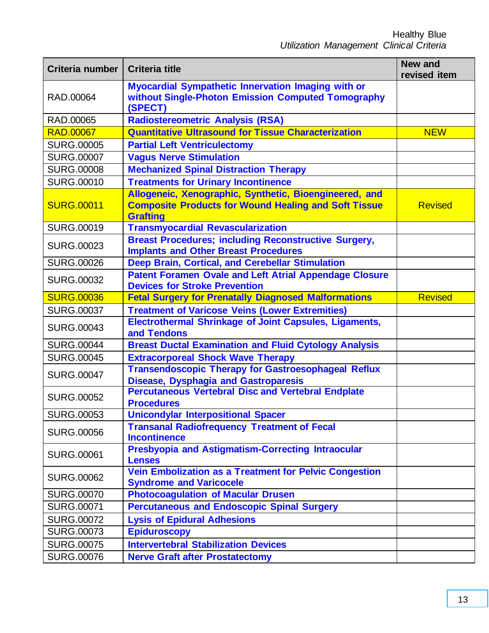| Criteria number   | <b>Criteria title</b>                                                                                                                    | <b>New and</b><br>revised item |
|-------------------|------------------------------------------------------------------------------------------------------------------------------------------|--------------------------------|
| RAD.00064         | Myocardial Sympathetic Innervation Imaging with or<br>without Single-Photon Emission Computed Tomography<br>(SPECT)                      |                                |
| RAD.00065         | <b>Radiostereometric Analysis (RSA)</b>                                                                                                  |                                |
| <b>RAD.00067</b>  | <b>Quantitative Ultrasound for Tissue Characterization</b>                                                                               | <b>NEW</b>                     |
| <b>SURG.00005</b> | <b>Partial Left Ventriculectomy</b>                                                                                                      |                                |
| <b>SURG.00007</b> | <b>Vagus Nerve Stimulation</b>                                                                                                           |                                |
| <b>SURG.00008</b> | <b>Mechanized Spinal Distraction Therapy</b>                                                                                             |                                |
| <b>SURG.00010</b> | <b>Treatments for Urinary Incontinence</b>                                                                                               |                                |
| <b>SURG.00011</b> | Allogeneic, Xenographic, Synthetic, Bioengineered, and<br><b>Composite Products for Wound Healing and Soft Tissue</b><br><b>Grafting</b> | <b>Revised</b>                 |
| <b>SURG.00019</b> | <b>Transmyocardial Revascularization</b>                                                                                                 |                                |
| <b>SURG.00023</b> | <b>Breast Procedures; including Reconstructive Surgery,</b><br><b>Implants and Other Breast Procedures</b>                               |                                |
| <b>SURG.00026</b> | Deep Brain, Cortical, and Cerebellar Stimulation                                                                                         |                                |
| <b>SURG.00032</b> | <b>Patent Foramen Ovale and Left Atrial Appendage Closure</b><br><b>Devices for Stroke Prevention</b>                                    |                                |
| <b>SURG.00036</b> | <b>Fetal Surgery for Prenatally Diagnosed Malformations</b>                                                                              | <b>Revised</b>                 |
| <b>SURG.00037</b> | <b>Treatment of Varicose Veins (Lower Extremities)</b>                                                                                   |                                |
| <b>SURG.00043</b> | <b>Electrothermal Shrinkage of Joint Capsules, Ligaments,</b><br>and Tendons                                                             |                                |
| <b>SURG.00044</b> | <b>Breast Ductal Examination and Fluid Cytology Analysis</b>                                                                             |                                |
| <b>SURG.00045</b> | <b>Extracorporeal Shock Wave Therapy</b>                                                                                                 |                                |
| <b>SURG.00047</b> | <b>Transendoscopic Therapy for Gastroesophageal Reflux</b><br><b>Disease, Dysphagia and Gastroparesis</b>                                |                                |
| <b>SURG.00052</b> | <b>Percutaneous Vertebral Disc and Vertebral Endplate</b><br><b>Procedures</b>                                                           |                                |
| <b>SURG.00053</b> | <b>Unicondylar Interpositional Spacer</b>                                                                                                |                                |
| <b>SURG.00056</b> | <b>Transanal Radiofrequency Treatment of Fecal</b><br><b>Incontinence</b>                                                                |                                |
| <b>SURG.00061</b> | <b>Presbyopia and Astigmatism-Correcting Intraocular</b><br><b>Lenses</b>                                                                |                                |
| <b>SURG.00062</b> | <b>Vein Embolization as a Treatment for Pelvic Congestion</b><br><b>Syndrome and Varicocele</b>                                          |                                |
| <b>SURG.00070</b> | <b>Photocoagulation of Macular Drusen</b>                                                                                                |                                |
| <b>SURG.00071</b> | <b>Percutaneous and Endoscopic Spinal Surgery</b>                                                                                        |                                |
| <b>SURG.00072</b> | <b>Lysis of Epidural Adhesions</b>                                                                                                       |                                |
| <b>SURG.00073</b> | <b>Epiduroscopy</b>                                                                                                                      |                                |
| <b>SURG.00075</b> | <b>Intervertebral Stabilization Devices</b>                                                                                              |                                |
| <b>SURG.00076</b> | <b>Nerve Graft after Prostatectomy</b>                                                                                                   |                                |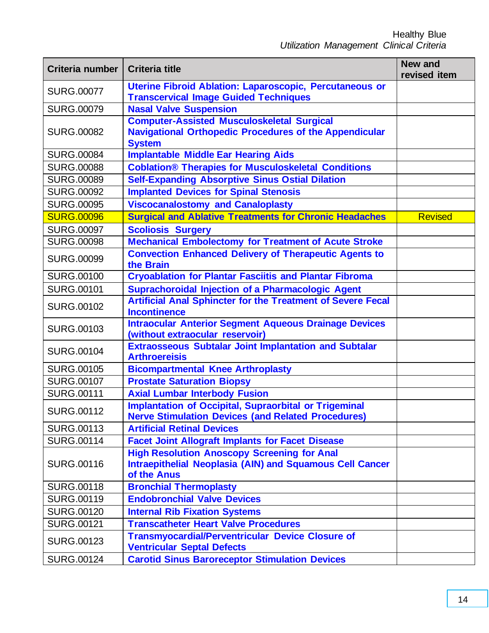| Criteria number   | <b>Criteria title</b>                                                                                                                | <b>New and</b><br>revised item |
|-------------------|--------------------------------------------------------------------------------------------------------------------------------------|--------------------------------|
| <b>SURG.00077</b> | Uterine Fibroid Ablation: Laparoscopic, Percutaneous or<br><b>Transcervical Image Guided Techniques</b>                              |                                |
| <b>SURG.00079</b> | <b>Nasal Valve Suspension</b>                                                                                                        |                                |
| <b>SURG.00082</b> | <b>Computer-Assisted Musculoskeletal Surgical</b><br><b>Navigational Orthopedic Procedures of the Appendicular</b><br><b>System</b>  |                                |
| <b>SURG.00084</b> | <b>Implantable Middle Ear Hearing Aids</b>                                                                                           |                                |
| <b>SURG.00088</b> | <b>Coblation® Therapies for Musculoskeletal Conditions</b>                                                                           |                                |
| <b>SURG.00089</b> | <b>Self-Expanding Absorptive Sinus Ostial Dilation</b>                                                                               |                                |
| <b>SURG.00092</b> | <b>Implanted Devices for Spinal Stenosis</b>                                                                                         |                                |
| <b>SURG.00095</b> | <b>Viscocanalostomy and Canaloplasty</b>                                                                                             |                                |
| <b>SURG.00096</b> | <b>Surgical and Ablative Treatments for Chronic Headaches</b>                                                                        | <b>Revised</b>                 |
| <b>SURG.00097</b> | <b>Scoliosis Surgery</b>                                                                                                             |                                |
| <b>SURG.00098</b> | <b>Mechanical Embolectomy for Treatment of Acute Stroke</b>                                                                          |                                |
| <b>SURG.00099</b> | <b>Convection Enhanced Delivery of Therapeutic Agents to</b><br>the Brain                                                            |                                |
| <b>SURG.00100</b> | <b>Cryoablation for Plantar Fasciitis and Plantar Fibroma</b>                                                                        |                                |
| <b>SURG.00101</b> | Suprachoroidal Injection of a Pharmacologic Agent                                                                                    |                                |
| <b>SURG.00102</b> | <b>Artificial Anal Sphincter for the Treatment of Severe Fecal</b><br><b>Incontinence</b>                                            |                                |
| <b>SURG.00103</b> | <b>Intraocular Anterior Segment Aqueous Drainage Devices</b><br>(without extraocular reservoir)                                      |                                |
| <b>SURG.00104</b> | <b>Extraosseous Subtalar Joint Implantation and Subtalar</b><br><b>Arthroereisis</b>                                                 |                                |
| <b>SURG.00105</b> | <b>Bicompartmental Knee Arthroplasty</b>                                                                                             |                                |
| <b>SURG.00107</b> | <b>Prostate Saturation Biopsy</b>                                                                                                    |                                |
| <b>SURG.00111</b> | <b>Axial Lumbar Interbody Fusion</b>                                                                                                 |                                |
| <b>SURG.00112</b> | <b>Implantation of Occipital, Supraorbital or Trigeminal</b><br><b>Nerve Stimulation Devices (and Related Procedures)</b>            |                                |
| <b>SURG.00113</b> | <b>Artificial Retinal Devices</b>                                                                                                    |                                |
| <b>SURG.00114</b> | <b>Facet Joint Allograft Implants for Facet Disease</b>                                                                              |                                |
| <b>SURG.00116</b> | <b>High Resolution Anoscopy Screening for Anal</b><br><b>Intraepithelial Neoplasia (AIN) and Squamous Cell Cancer</b><br>of the Anus |                                |
| <b>SURG.00118</b> | <b>Bronchial Thermoplasty</b>                                                                                                        |                                |
| <b>SURG.00119</b> | <b>Endobronchial Valve Devices</b>                                                                                                   |                                |
| <b>SURG.00120</b> | <b>Internal Rib Fixation Systems</b>                                                                                                 |                                |
| <b>SURG.00121</b> | <b>Transcatheter Heart Valve Procedures</b>                                                                                          |                                |
| <b>SURG.00123</b> | <b>Transmyocardial/Perventricular Device Closure of</b><br><b>Ventricular Septal Defects</b>                                         |                                |
| <b>SURG.00124</b> | <b>Carotid Sinus Baroreceptor Stimulation Devices</b>                                                                                |                                |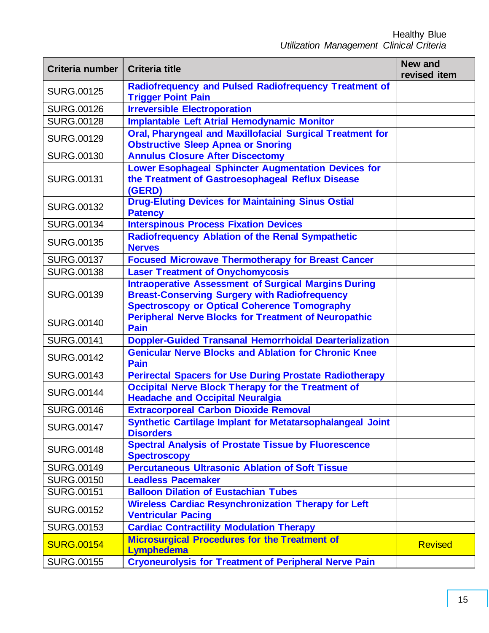| Criteria number   | <b>Criteria title</b>                                                                                                                                                      | <b>New and</b><br>revised item |
|-------------------|----------------------------------------------------------------------------------------------------------------------------------------------------------------------------|--------------------------------|
| <b>SURG.00125</b> | Radiofrequency and Pulsed Radiofrequency Treatment of<br><b>Trigger Point Pain</b>                                                                                         |                                |
| <b>SURG.00126</b> | <b>Irreversible Electroporation</b>                                                                                                                                        |                                |
| <b>SURG.00128</b> | <b>Implantable Left Atrial Hemodynamic Monitor</b>                                                                                                                         |                                |
| <b>SURG.00129</b> | <b>Oral, Pharyngeal and Maxillofacial Surgical Treatment for</b><br><b>Obstructive Sleep Apnea or Snoring</b>                                                              |                                |
| <b>SURG.00130</b> | <b>Annulus Closure After Discectomy</b>                                                                                                                                    |                                |
| <b>SURG.00131</b> | <b>Lower Esophageal Sphincter Augmentation Devices for</b><br>the Treatment of Gastroesophageal Reflux Disease<br>(GERD)                                                   |                                |
| <b>SURG.00132</b> | <b>Drug-Eluting Devices for Maintaining Sinus Ostial</b><br><b>Patency</b>                                                                                                 |                                |
| <b>SURG.00134</b> | <b>Interspinous Process Fixation Devices</b>                                                                                                                               |                                |
| <b>SURG.00135</b> | <b>Radiofrequency Ablation of the Renal Sympathetic</b><br><b>Nerves</b>                                                                                                   |                                |
| <b>SURG.00137</b> | <b>Focused Microwave Thermotherapy for Breast Cancer</b>                                                                                                                   |                                |
| <b>SURG.00138</b> | <b>Laser Treatment of Onychomycosis</b>                                                                                                                                    |                                |
| <b>SURG.00139</b> | <b>Intraoperative Assessment of Surgical Margins During</b><br><b>Breast-Conserving Surgery with Radiofrequency</b><br><b>Spectroscopy or Optical Coherence Tomography</b> |                                |
| <b>SURG.00140</b> | <b>Peripheral Nerve Blocks for Treatment of Neuropathic</b><br><b>Pain</b>                                                                                                 |                                |
| <b>SURG.00141</b> | <b>Doppler-Guided Transanal Hemorrhoidal Dearterialization</b>                                                                                                             |                                |
| <b>SURG.00142</b> | <b>Genicular Nerve Blocks and Ablation for Chronic Knee</b><br><b>Pain</b>                                                                                                 |                                |
| <b>SURG.00143</b> | <b>Perirectal Spacers for Use During Prostate Radiotherapy</b>                                                                                                             |                                |
| <b>SURG.00144</b> | <b>Occipital Nerve Block Therapy for the Treatment of</b><br><b>Headache and Occipital Neuralgia</b>                                                                       |                                |
| <b>SURG.00146</b> | <b>Extracorporeal Carbon Dioxide Removal</b>                                                                                                                               |                                |
| <b>SURG.00147</b> | <b>Synthetic Cartilage Implant for Metatarsophalangeal Joint</b><br><b>Disorders</b>                                                                                       |                                |
| <b>SURG.00148</b> | <b>Spectral Analysis of Prostate Tissue by Fluorescence</b><br><b>Spectroscopy</b>                                                                                         |                                |
| <b>SURG.00149</b> | <b>Percutaneous Ultrasonic Ablation of Soft Tissue</b>                                                                                                                     |                                |
| <b>SURG.00150</b> | <b>Leadless Pacemaker</b>                                                                                                                                                  |                                |
| <b>SURG.00151</b> | <b>Balloon Dilation of Eustachian Tubes</b>                                                                                                                                |                                |
| <b>SURG.00152</b> | <b>Wireless Cardiac Resynchronization Therapy for Left</b><br><b>Ventricular Pacing</b>                                                                                    |                                |
| <b>SURG.00153</b> | <b>Cardiac Contractility Modulation Therapy</b>                                                                                                                            |                                |
| <b>SURG.00154</b> | <b>Microsurgical Procedures for the Treatment of</b><br><b>Lymphedema</b>                                                                                                  | <b>Revised</b>                 |
| <b>SURG.00155</b> | <b>Cryoneurolysis for Treatment of Peripheral Nerve Pain</b>                                                                                                               |                                |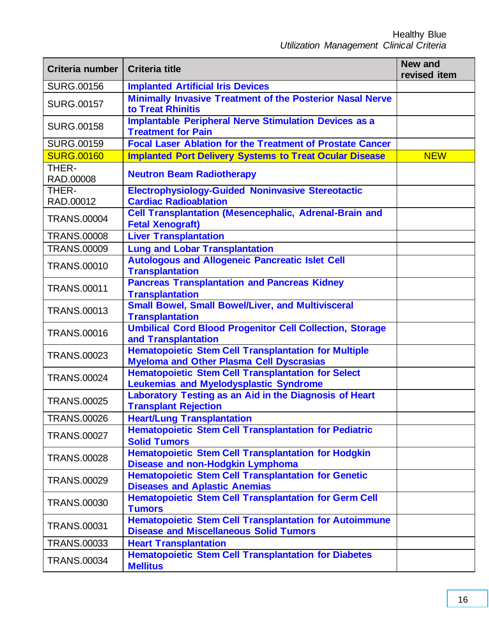| Criteria number    | <b>Criteria title</b>                                                                                          | <b>New and</b><br>revised item |
|--------------------|----------------------------------------------------------------------------------------------------------------|--------------------------------|
| <b>SURG.00156</b>  | <b>Implanted Artificial Iris Devices</b>                                                                       |                                |
| <b>SURG.00157</b>  | <b>Minimally Invasive Treatment of the Posterior Nasal Nerve</b><br>to Treat Rhinitis                          |                                |
| <b>SURG.00158</b>  | <b>Implantable Peripheral Nerve Stimulation Devices as a</b><br><b>Treatment for Pain</b>                      |                                |
| <b>SURG.00159</b>  | <b>Focal Laser Ablation for the Treatment of Prostate Cancer</b>                                               |                                |
| <b>SURG.00160</b>  | <b>Implanted Port Delivery Systems to Treat Ocular Disease</b>                                                 | <b>NEW</b>                     |
| THER-<br>RAD.00008 | <b>Neutron Beam Radiotherapy</b>                                                                               |                                |
| THER-<br>RAD.00012 | <b>Electrophysiology-Guided Noninvasive Stereotactic</b><br><b>Cardiac Radioablation</b>                       |                                |
| <b>TRANS.00004</b> | <b>Cell Transplantation (Mesencephalic, Adrenal-Brain and</b><br><b>Fetal Xenograft)</b>                       |                                |
| <b>TRANS.00008</b> | <b>Liver Transplantation</b>                                                                                   |                                |
| <b>TRANS.00009</b> | <b>Lung and Lobar Transplantation</b>                                                                          |                                |
| <b>TRANS.00010</b> | <b>Autologous and Allogeneic Pancreatic Islet Cell</b><br><b>Transplantation</b>                               |                                |
| <b>TRANS.00011</b> | <b>Pancreas Transplantation and Pancreas Kidney</b><br><b>Transplantation</b>                                  |                                |
| <b>TRANS.00013</b> | <b>Small Bowel, Small Bowel/Liver, and Multivisceral</b><br><b>Transplantation</b>                             |                                |
| <b>TRANS.00016</b> | <b>Umbilical Cord Blood Progenitor Cell Collection, Storage</b><br>and Transplantation                         |                                |
| <b>TRANS.00023</b> | <b>Hematopoietic Stem Cell Transplantation for Multiple</b><br><b>Myeloma and Other Plasma Cell Dyscrasias</b> |                                |
| <b>TRANS.00024</b> | <b>Hematopoietic Stem Cell Transplantation for Select</b><br><b>Leukemias and Myelodysplastic Syndrome</b>     |                                |
| <b>TRANS.00025</b> | Laboratory Testing as an Aid in the Diagnosis of Heart<br><b>Transplant Rejection</b>                          |                                |
| <b>TRANS.00026</b> | <b>Heart/Lung Transplantation</b>                                                                              |                                |
| <b>TRANS.00027</b> | Hematopoietic Stem Cell Transplantation for Pediatric<br><b>Solid Tumors</b>                                   |                                |
| <b>TRANS.00028</b> | <b>Hematopoietic Stem Cell Transplantation for Hodgkin</b><br><b>Disease and non-Hodgkin Lymphoma</b>          |                                |
| <b>TRANS.00029</b> | <b>Hematopoietic Stem Cell Transplantation for Genetic</b><br><b>Diseases and Aplastic Anemias</b>             |                                |
| <b>TRANS.00030</b> | <b>Hematopoietic Stem Cell Transplantation for Germ Cell</b><br><b>Tumors</b>                                  |                                |
| <b>TRANS.00031</b> | <b>Hematopoietic Stem Cell Transplantation for Autoimmune</b><br><b>Disease and Miscellaneous Solid Tumors</b> |                                |
| <b>TRANS.00033</b> | <b>Heart Transplantation</b>                                                                                   |                                |
| <b>TRANS.00034</b> | <b>Hematopoietic Stem Cell Transplantation for Diabetes</b><br><b>Mellitus</b>                                 |                                |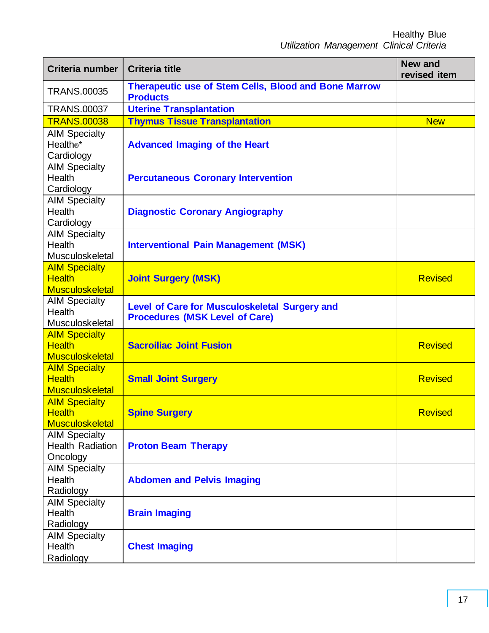| Criteria number                                                 | <b>Criteria title</b>                                                                  | <b>New and</b><br>revised item |
|-----------------------------------------------------------------|----------------------------------------------------------------------------------------|--------------------------------|
| <b>TRANS.00035</b>                                              | <b>Therapeutic use of Stem Cells, Blood and Bone Marrow</b><br><b>Products</b>         |                                |
| <b>TRANS.00037</b>                                              | <b>Uterine Transplantation</b>                                                         |                                |
| <b>TRANS.00038</b>                                              | <b>Thymus Tissue Transplantation</b>                                                   | <b>New</b>                     |
| <b>AIM Specialty</b><br>Health®*<br>Cardiology                  | <b>Advanced Imaging of the Heart</b>                                                   |                                |
| <b>AIM Specialty</b><br><b>Health</b><br>Cardiology             | <b>Percutaneous Coronary Intervention</b>                                              |                                |
| <b>AIM Specialty</b><br><b>Health</b><br>Cardiology             | <b>Diagnostic Coronary Angiography</b>                                                 |                                |
| <b>AIM Specialty</b><br>Health<br>Musculoskeletal               | <b>Interventional Pain Management (MSK)</b>                                            |                                |
| <b>AIM Specialty</b><br><b>Health</b><br><b>Musculoskeletal</b> | <b>Joint Surgery (MSK)</b>                                                             | <b>Revised</b>                 |
| <b>AIM Specialty</b><br><b>Health</b><br>Musculoskeletal        | Level of Care for Musculoskeletal Surgery and<br><b>Procedures (MSK Level of Care)</b> |                                |
| <b>AIM Specialty</b><br><b>Health</b><br><b>Musculoskeletal</b> | <b>Sacroiliac Joint Fusion</b>                                                         | <b>Revised</b>                 |
| <b>AIM Specialty</b><br><b>Health</b><br><b>Musculoskeletal</b> | <b>Small Joint Surgery</b>                                                             | <b>Revised</b>                 |
| <b>AIM Specialty</b><br><b>Health</b><br><b>Musculoskeletal</b> | <b>Spine Surgery</b>                                                                   | <b>Revised</b>                 |
| <b>AIM Specialty</b><br><b>Health Radiation</b><br>Oncology     | <b>Proton Beam Therapy</b>                                                             |                                |
| <b>AIM Specialty</b><br><b>Health</b><br>Radiology              | <b>Abdomen and Pelvis Imaging</b>                                                      |                                |
| <b>AIM Specialty</b><br>Health<br>Radiology                     | <b>Brain Imaging</b>                                                                   |                                |
| <b>AIM Specialty</b><br>Health<br>Radiology                     | <b>Chest Imaging</b>                                                                   |                                |